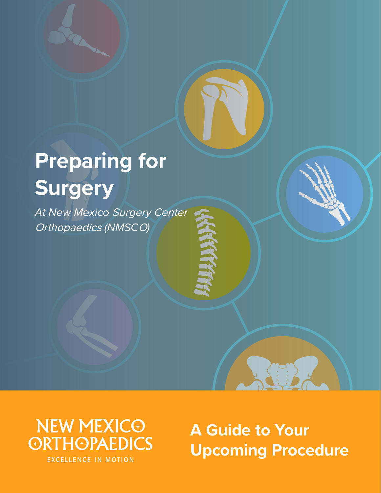# **Preparing for Surgery**

*At New Mexico* Surgery Center Orthopaedics *(NMSC*O*)*



**A Guide to Your Upcoming Procedure**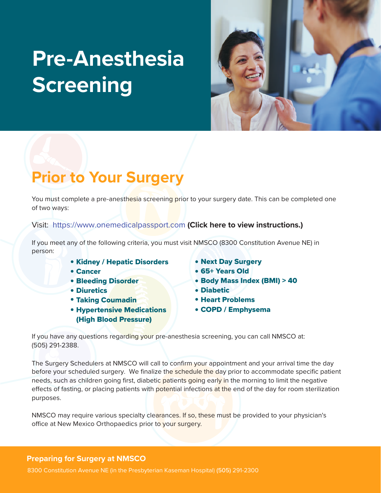# **Pre-Anesthesia Screening**



# **Prior to Your Surgery**

You must complete a pre-anesthesia screening prior to your surgery date. This can be completed one of two ways:

### Visit: <https://www.onemedicalpassport.com> **[\(Click here to view instructions.\)](#page-7-0)**

If you meet any of the following criteria, you must visit NMSCO (8300 Constitution Avenue NE) in person:

- **Kidney / Hepatic Disorders**
- Cancer
- **Bleeding Disorder**
- Diuretics
- **Taking Coumadin**
- **Hypertensive Medications** (High Blood Pressure)
- Next Day Surgery
- 65+ Years Old
- Body Mass Index (BMI) > 40
- Diabetic
- **Heart Problems**
- COPD / Emphysema

If you have any questions regarding your pre-anesthesia screening, you can call NMSCO at: (505) 291-2388.

The Surgery Schedulers at NMSCO will call to confirm your appointment and your arrival time the day before your scheduled surgery. We finalize the schedule the day prior to accommodate specific patient needs, such as children going first, diabetic patients going early in the morning to limit the negative effects of fasting, or placing patients with potential infections at the end of the day for room sterilization purposes.

NMSCO may require various specialty clearances. If so, these must be provided to your physician's office at New Mexico Orthopaedics prior to your surgery.

#### **Preparing for Surgery at NMSCO**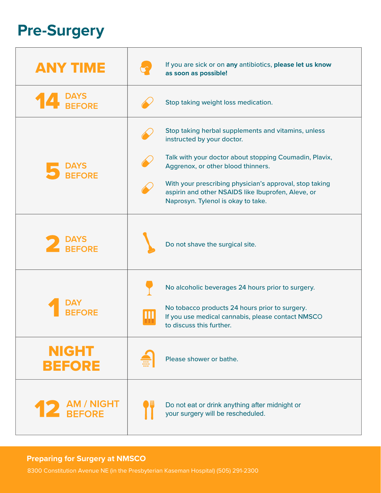# **Pre-Surgery**

| <b>ANY TIME</b>          | If you are sick or on any antibiotics, please let us know<br>as soon as possible!                                                                   |
|--------------------------|-----------------------------------------------------------------------------------------------------------------------------------------------------|
|                          | Stop taking weight loss medication.                                                                                                                 |
|                          | Stop taking herbal supplements and vitamins, unless<br>instructed by your doctor.                                                                   |
| <b>BEFORE</b>            | Talk with your doctor about stopping Coumadin, Plavix,<br>Aggrenox, or other blood thinners.                                                        |
|                          | With your prescribing physician's approval, stop taking<br>aspirin and other NSAIDS like Ibuprofen, Aleve, or<br>Naprosyn. Tylenol is okay to take. |
| <b>BEFORE</b>            | Do not shave the surgical site.                                                                                                                     |
|                          | No alcoholic beverages 24 hours prior to surgery.                                                                                                   |
|                          | No tobacco products 24 hours prior to surgery.<br>If you use medical cannabis, please contact NMSCO<br>to discuss this further.                     |
| <b>NIGHT</b><br>BEFORE   | Please shower or bathe.                                                                                                                             |
| ⊢ AM / NIGHT<br>∟ BEFORE | Do not eat or drink anything after midnight or<br>your surgery will be rescheduled.                                                                 |

### **Preparing for Surgery at NMSCO**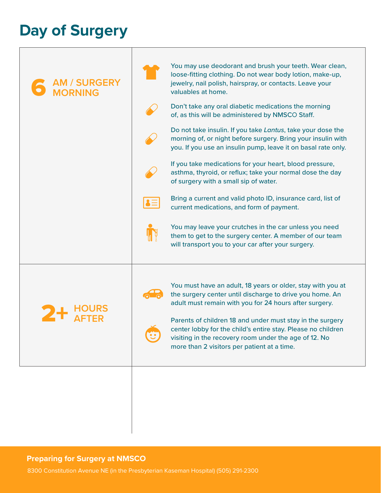## **Day of Surgery**

| <b>AM / SURGERY<br/>MORNING</b> | You may use deodorant and brush your teeth. Wear clean,<br>loose-fitting clothing. Do not wear body lotion, make-up,<br>jewelry, nail polish, hairspray, or contacts. Leave your<br>valuables at home.<br>Don't take any oral diabetic medications the morning                                                                                                                                                                      |  |
|---------------------------------|-------------------------------------------------------------------------------------------------------------------------------------------------------------------------------------------------------------------------------------------------------------------------------------------------------------------------------------------------------------------------------------------------------------------------------------|--|
|                                 | of, as this will be administered by NMSCO Staff.<br>Do not take insulin. If you take Lantus, take your dose the<br>morning of, or night before surgery. Bring your insulin with<br>you. If you use an insulin pump, leave it on basal rate only.<br>If you take medications for your heart, blood pressure,<br>asthma, thyroid, or reflux; take your normal dose the day                                                            |  |
|                                 | of surgery with a small sip of water.<br>Bring a current and valid photo ID, insurance card, list of<br>$\bullet \equiv$<br>current medications, and form of payment.<br>You may leave your crutches in the car unless you need<br>them to get to the surgery center. A member of our team<br>will transport you to your car after your surgery.                                                                                    |  |
|                                 | You must have an adult, 18 years or older, stay with you at<br>the surgery center until discharge to drive you home. An<br>adult must remain with you for 24 hours after surgery.<br>Parents of children 18 and under must stay in the surgery<br>center lobby for the child's entire stay. Please no children<br>$\bullet$<br>visiting in the recovery room under the age of 12. No<br>more than 2 visitors per patient at a time. |  |
|                                 |                                                                                                                                                                                                                                                                                                                                                                                                                                     |  |

### **Preparing for Surgery at NMSCO**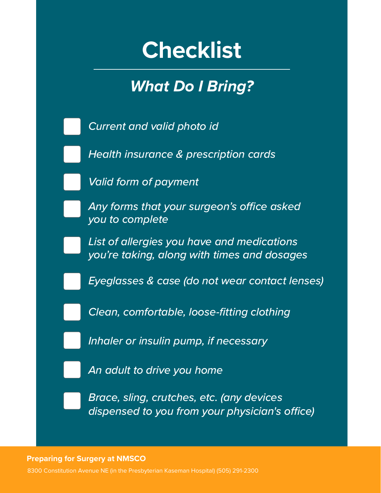# **Checklist**

## *What Do I Bring?*

*Current and valid photo id*

*Health insurance & prescription cards*

*Valid form of payment*

Any forms that your surgeon's office asked *you to complete*

*List of allergies you have and medications you're taking, along with times and dosages*

*Eyeglasses & case (do not wear contact lenses)*

*Clean, comfortable, loose-fitting clothing* 

*Inhaler or insulin pump, if necessary*

*An adult to drive you home*

*Brace, sling, crutches, etc. (any devices dispensed to you from your physician's office)* 

**Preparing for Surgery at NMSCO**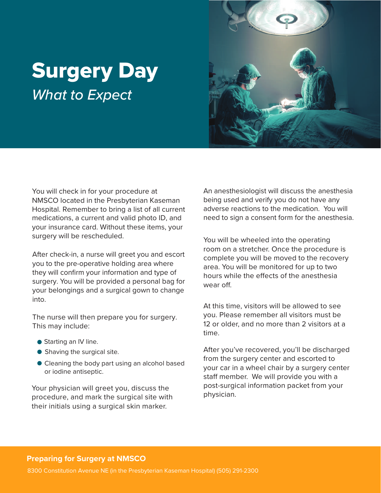# Surgery Day *What to Expect*



You will check in for your procedure at NMSCO located in the Presbyterian Kaseman Hospital. Remember to bring a list of all current medications, a current and valid photo ID, and your insurance card. Without these items, your surgery will be rescheduled.

After check-in, a nurse will greet you and escort you to the pre-operative holding area where they will confirm your information and type of surgery. You will be provided a personal bag for your belongings and a surgical gown to change into.

The nurse will then prepare you for surgery. This may include:

- Starting an IV line.
- Shaving the surgical site.
- Cleaning the body part using an alcohol based or iodine antiseptic.

Your physician will greet you, discuss the procedure, and mark the surgical site with their initials using a surgical skin marker.

An anesthesiologist will discuss the anesthesia being used and verify you do not have any adverse reactions to the medication. You will need to sign a consent form for the anesthesia.

You will be wheeled into the operating room on a stretcher. Once the procedure is complete you will be moved to the recovery area. You will be monitored for up to two hours while the effects of the anesthesia wear off

At this time, visitors will be allowed to see you. Please remember all visitors must be 12 or older, and no more than 2 visitors at a time.

After you've recovered, you'll be discharged from the surgery center and escorted to your car in a wheel chair by a surgery center staff member. We will provide you with a post-surgical information packet from your physician.

### **Preparing for Surgery at NMSCO**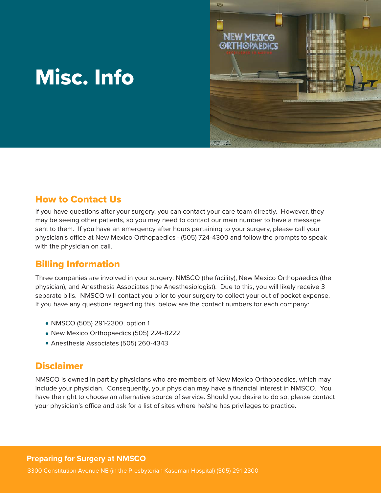# Misc. Info



### How to Contact Us

If you have questions after your surgery, you can contact your care team directly. However, they may be seeing other patients, so you may need to contact our main number to have a message sent to them. If you have an emergency after hours pertaining to your surgery, please call your physician's office at New Mexico Orthopaedics - (505) 724-4300 and follow the prompts to speak with the physician on call.

## Billing Information

Three companies are involved in your surgery: NMSCO (the facility), New Mexico Orthopaedics (the physician), and Anesthesia Associates (the Anesthesiologist). Due to this, you will likely receive 3 separate bills. NMSCO will contact you prior to your surgery to collect your out of pocket expense. If you have any questions regarding this, below are the contact numbers for each company:

- NMSCO (505) 291-2300, option 1
- New Mexico Orthopaedics (505) 224-8222
- Anesthesia Associates (505) 260-4343

## **Disclaimer**

NMSCO is owned in part by physicians who are members of New Mexico Orthopaedics, which may include your physician. Consequently, your physician may have a financial interest in NMSCO. You have the right to choose an alternative source of service. Should you desire to do so, please contact your physician's office and ask for a list of sites where he/she has privileges to practice.

### **Preparing for Surgery at NMSCO**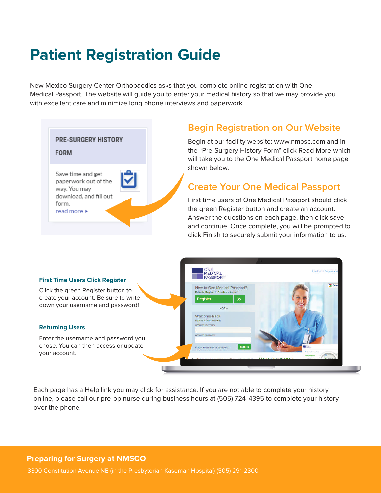# <span id="page-7-0"></span>**Patient Registration Guide**

New Mexico Surgery Center Orthopaedics asks that you complete online registration with One Medical Passport. The website will guide you to enter your medical history so that we may provide you with excellent care and minimize long phone interviews and paperwork.

| <b>PRE-SURGERY HISTORY</b><br><b>FORM</b>                                                                   |  |
|-------------------------------------------------------------------------------------------------------------|--|
| Save time and get<br>paperwork out of the<br>way. You may<br>download, and fill out<br>form.<br>read more ▶ |  |

## **Begin Registration on Our Website**

Begin at our facility website: www.nmosc.com and in the "Pre-Surgery History Form" click Read More which will take you to the One Medical Passport home page shown below.

## **Create Your One Medical Passport**

First time users of One Medical Passport should click the green Register button and create an account. Answer the questions on each page, then click save and continue. Once complete, you will be prompted to click Finish to securely submit your information to us.

#### **First Time Users Click Register**

Click the green Register button to create your account. Be sure to write down your username and password!

#### **Returning Users**

Enter the username and password you chose. You can then access or update your account.



Each page has a Help link you may click for assistance. If you are not able to complete your history online, please call our pre-op nurse during business hours at (505) 724-4395 to complete your history over the phone.

#### **Preparing for Surgery at NMSCO**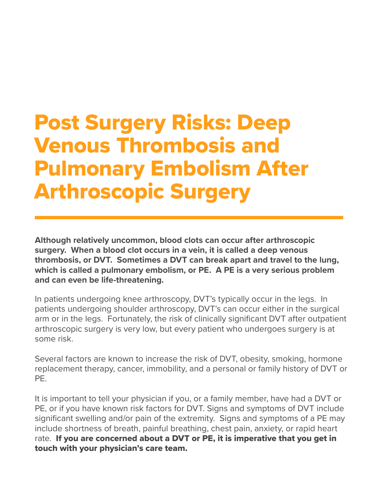Post Surgery Risks: Deep Venous Thrombosis and Pulmonary Embolism After Arthroscopic Surgery

**Although relatively uncommon, blood clots can occur after arthroscopic surgery. When a blood clot occurs in a vein, it is called a deep venous thrombosis, or DVT. Sometimes a DVT can break apart and travel to the lung, which is called a pulmonary embolism, or PE. A PE is a very serious problem and can even be life-threatening.**

In patients undergoing knee arthroscopy, DVT's typically occur in the legs. In patients undergoing shoulder arthroscopy, DVT's can occur either in the surgical arm or in the legs. Fortunately, the risk of clinically significant DVT after outpatient arthroscopic surgery is very low, but every patient who undergoes surgery is at some risk.

Several factors are known to increase the risk of DVT, obesity, smoking, hormone replacement therapy, cancer, immobility, and a personal or family history of DVT or PE.

It is important to tell your physician if you, or a family member, have had a DVT or PE, or if you have known risk factors for DVT. Signs and symptoms of DVT include significant swelling and/or pain of the extremity. Signs and symptoms of a PE may include shortness of breath, painful breathing, chest pain, anxiety, or rapid heart rate. If you are concerned about a DVT or PE, it is imperative that you get in touch with your physician's care team.